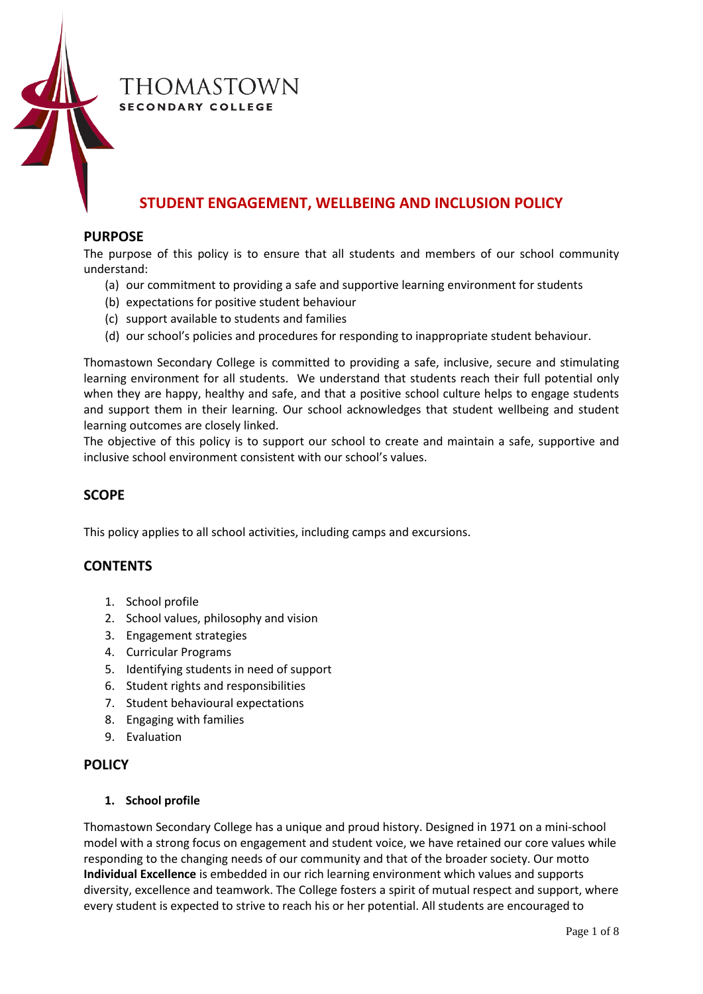

# THOMASTOWN **SECONDARY COLLEGE**

# **STUDENT ENGAGEMENT, WELLBEING AND INCLUSION POLICY**

## **PURPOSE**

The purpose of this policy is to ensure that all students and members of our school community understand:

- (a) our commitment to providing a safe and supportive learning environment for students
- (b) expectations for positive student behaviour
- (c) support available to students and families
- (d) our school's policies and procedures for responding to inappropriate student behaviour.

Thomastown Secondary College is committed to providing a safe, inclusive, secure and stimulating learning environment for all students. We understand that students reach their full potential only when they are happy, healthy and safe, and that a positive school culture helps to engage students and support them in their learning. Our school acknowledges that student wellbeing and student learning outcomes are closely linked.

The objective of this policy is to support our school to create and maintain a safe, supportive and inclusive school environment consistent with our school's values.

# **SCOPE**

This policy applies to all school activities, including camps and excursions.

# **CONTENTS**

- 1. School profile
- 2. School values, philosophy and vision
- 3. Engagement strategies
- 4. Curricular Programs
- 5. Identifying students in need of support
- 6. Student rights and responsibilities
- 7. Student behavioural expectations
- 8. Engaging with families
- 9. Evaluation

# **POLICY**

### **1. School profile**

Thomastown Secondary College has a unique and proud history. Designed in 1971 on a mini-school model with a strong focus on engagement and student voice, we have retained our core values while responding to the changing needs of our community and that of the broader society. Our motto **Individual Excellence** is embedded in our rich learning environment which values and supports diversity, excellence and teamwork. The College fosters a spirit of mutual respect and support, where every student is expected to strive to reach his or her potential. All students are encouraged to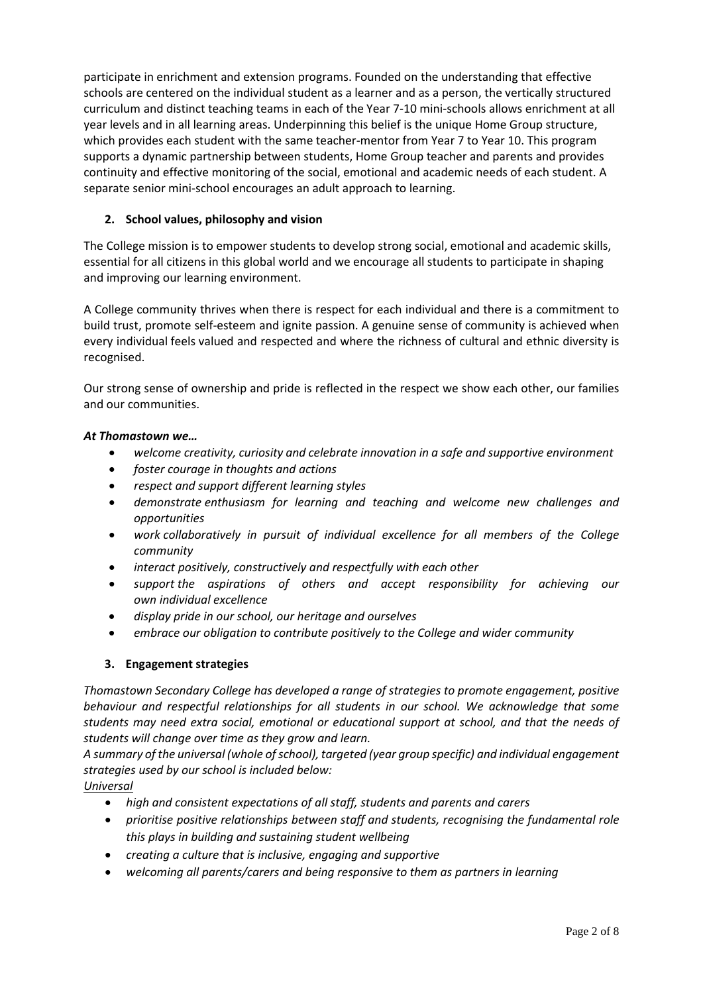participate in enrichment and extension programs. Founded on the understanding that effective schools are centered on the individual student as a learner and as a person, the vertically structured curriculum and distinct teaching teams in each of the Year 7-10 mini-schools allows enrichment at all year levels and in all learning areas. Underpinning this belief is the unique Home Group structure, which provides each student with the same teacher-mentor from Year 7 to Year 10. This program supports a dynamic partnership between students, Home Group teacher and parents and provides continuity and effective monitoring of the social, emotional and academic needs of each student. A separate senior mini-school encourages an adult approach to learning.

# **2. School values, philosophy and vision**

The College mission is to empower students to develop strong social, emotional and academic skills, essential for all citizens in this global world and we encourage all students to participate in shaping and improving our learning environment.

A College community thrives when there is respect for each individual and there is a commitment to build trust, promote self-esteem and ignite passion. A genuine sense of community is achieved when every individual feels valued and respected and where the richness of cultural and ethnic diversity is recognised.

Our strong sense of ownership and pride is reflected in the respect we show each other, our families and our communities.

#### *At Thomastown we…*

- *welcome creativity, curiosity and celebrate innovation in a safe and supportive environment*
- *foster courage in thoughts and actions*
- *respect and support different learning styles*
- *demonstrate enthusiasm for learning and teaching and welcome new challenges and opportunities*
- *work collaboratively in pursuit of individual excellence for all members of the College community*
- *interact positively, constructively and respectfully with each other*
- *support the aspirations of others and accept responsibility for achieving our own individual excellence*
- *display pride in our school, our heritage and ourselves*
- *embrace our obligation to contribute positively to the College and wider community*

#### **3. Engagement strategies**

*Thomastown Secondary College has developed a range of strategies to promote engagement, positive behaviour and respectful relationships for all students in our school. We acknowledge that some students may need extra social, emotional or educational support at school, and that the needs of students will change over time as they grow and learn.* 

*A summary of the universal (whole of school), targeted (year group specific) and individual engagement strategies used by our school is included below:*

*Universal*

- *high and consistent expectations of all staff, students and parents and carers*
- *prioritise positive relationships between staff and students, recognising the fundamental role this plays in building and sustaining student wellbeing*
- *creating a culture that is inclusive, engaging and supportive*
- *welcoming all parents/carers and being responsive to them as partners in learning*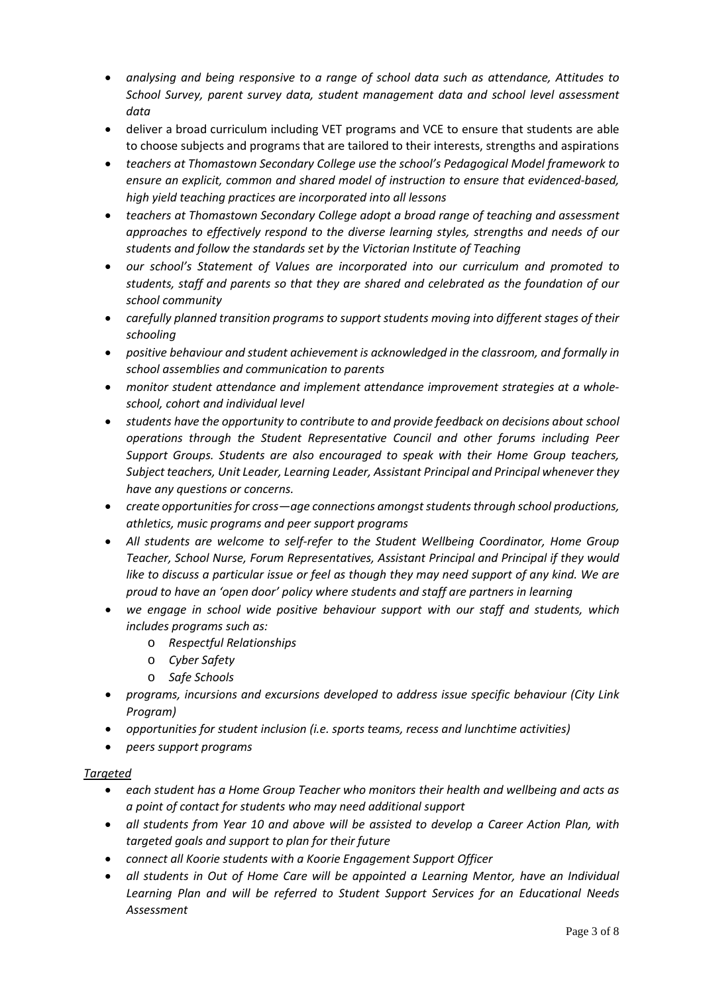- *analysing and being responsive to a range of school data such as attendance, Attitudes to School Survey, parent survey data, student management data and school level assessment data*
- deliver a broad curriculum including VET programs and VCE to ensure that students are able to choose subjects and programs that are tailored to their interests, strengths and aspirations
- *teachers at Thomastown Secondary College use the school's Pedagogical Model framework to ensure an explicit, common and shared model of instruction to ensure that evidenced-based, high yield teaching practices are incorporated into all lessons*
- *teachers at Thomastown Secondary College adopt a broad range of teaching and assessment approaches to effectively respond to the diverse learning styles, strengths and needs of our students and follow the standards set by the Victorian Institute of Teaching*
- *our school's Statement of Values are incorporated into our curriculum and promoted to students, staff and parents so that they are shared and celebrated as the foundation of our school community*
- *carefully planned transition programs to support students moving into different stages of their schooling*
- *positive behaviour and student achievement is acknowledged in the classroom, and formally in school assemblies and communication to parents*
- *monitor student attendance and implement attendance improvement strategies at a wholeschool, cohort and individual level*
- *students have the opportunity to contribute to and provide feedback on decisions about school operations through the Student Representative Council and other forums including Peer Support Groups. Students are also encouraged to speak with their Home Group teachers, Subject teachers, Unit Leader, Learning Leader, Assistant Principal and Principal whenever they have any questions or concerns.*
- *create opportunities for cross—age connections amongst students through school productions, athletics, music programs and peer support programs*
- *All students are welcome to self-refer to the Student Wellbeing Coordinator, Home Group Teacher, School Nurse, Forum Representatives, Assistant Principal and Principal if they would like to discuss a particular issue or feel as though they may need support of any kind. We are proud to have an 'open door' policy where students and staff are partners in learning*
- *we engage in school wide positive behaviour support with our staff and students, which includes programs such as:*
	- o *Respectful Relationships*
	- o *Cyber Safety*
	- o *Safe Schools*
- *programs, incursions and excursions developed to address issue specific behaviour (City Link Program)*
- *opportunities for student inclusion (i.e. sports teams, recess and lunchtime activities)*
- *peers support programs*

# *Targeted*

- *each student has a Home Group Teacher who monitors their health and wellbeing and acts as a point of contact for students who may need additional support*
- *all students from Year 10 and above will be assisted to develop a Career Action Plan, with targeted goals and support to plan for their future*
- *connect all Koorie students with a Koorie Engagement Support Officer*
- *all students in Out of Home Care will be appointed a Learning Mentor, have an Individual Learning Plan and will be referred to Student Support Services for an Educational Needs Assessment*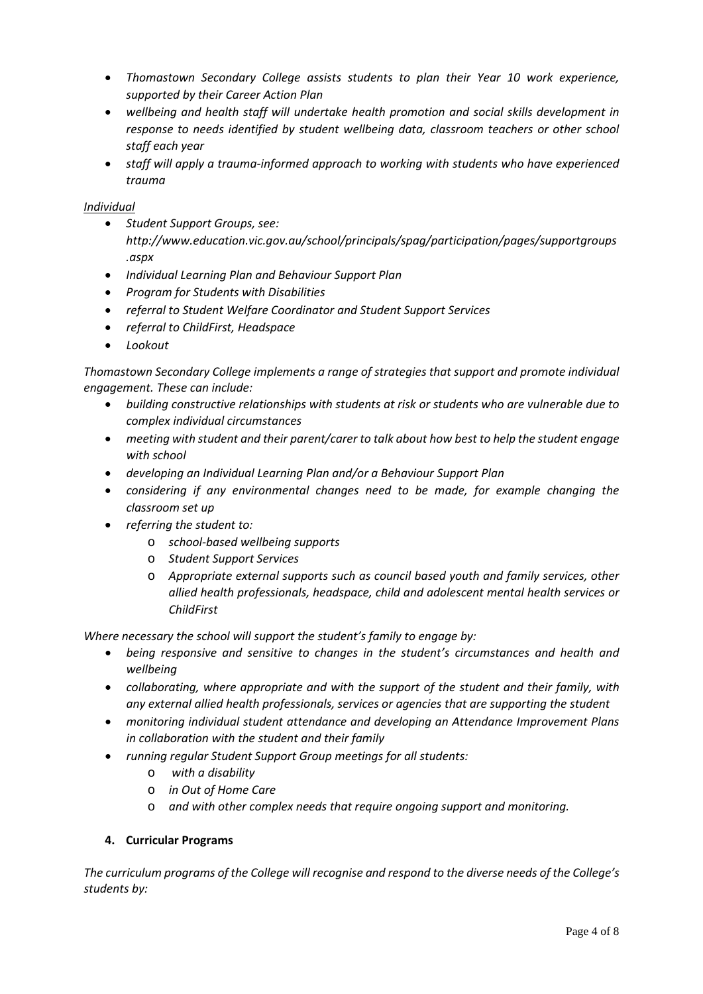- *Thomastown Secondary College assists students to plan their Year 10 work experience, supported by their Career Action Plan*
- *wellbeing and health staff will undertake health promotion and social skills development in response to needs identified by student wellbeing data, classroom teachers or other school staff each year*
- *staff will apply a trauma-informed approach to working with students who have experienced trauma*

## *Individual*

- *Student Support Groups, see: http://www.education.vic.gov.au/school/principals/spag/participation/pages/supportgroups .aspx*
- *Individual Learning Plan and Behaviour Support Plan*
- *Program for Students with Disabilities*
- *referral to Student Welfare Coordinator and Student Support Services*
- *referral to ChildFirst, Headspace*
- *Lookout*

*Thomastown Secondary College implements a range of strategies that support and promote individual engagement. These can include:*

- *building constructive relationships with students at risk or students who are vulnerable due to complex individual circumstances*
- *meeting with student and their parent/carer to talk about how best to help the student engage with school*
- *developing an Individual Learning Plan and/or a Behaviour Support Plan*
- *considering if any environmental changes need to be made, for example changing the classroom set up*
- *referring the student to:* 
	- o *school-based wellbeing supports*
	- o *Student Support Services*
	- o *Appropriate external supports such as council based youth and family services, other allied health professionals, headspace, child and adolescent mental health services or ChildFirst*

*Where necessary the school will support the student's family to engage by:* 

- *being responsive and sensitive to changes in the student's circumstances and health and wellbeing*
- *collaborating, where appropriate and with the support of the student and their family, with any external allied health professionals, services or agencies that are supporting the student*
- *monitoring individual student attendance and developing an Attendance Improvement Plans in collaboration with the student and their family*
- *running regular Student Support Group meetings for all students:*
	- o *with a disability*
	- o *in Out of Home Care*
	- o *and with other complex needs that require ongoing support and monitoring.*

# **4. Curricular Programs**

*The curriculum programs of the College will recognise and respond to the diverse needs of the College's students by:*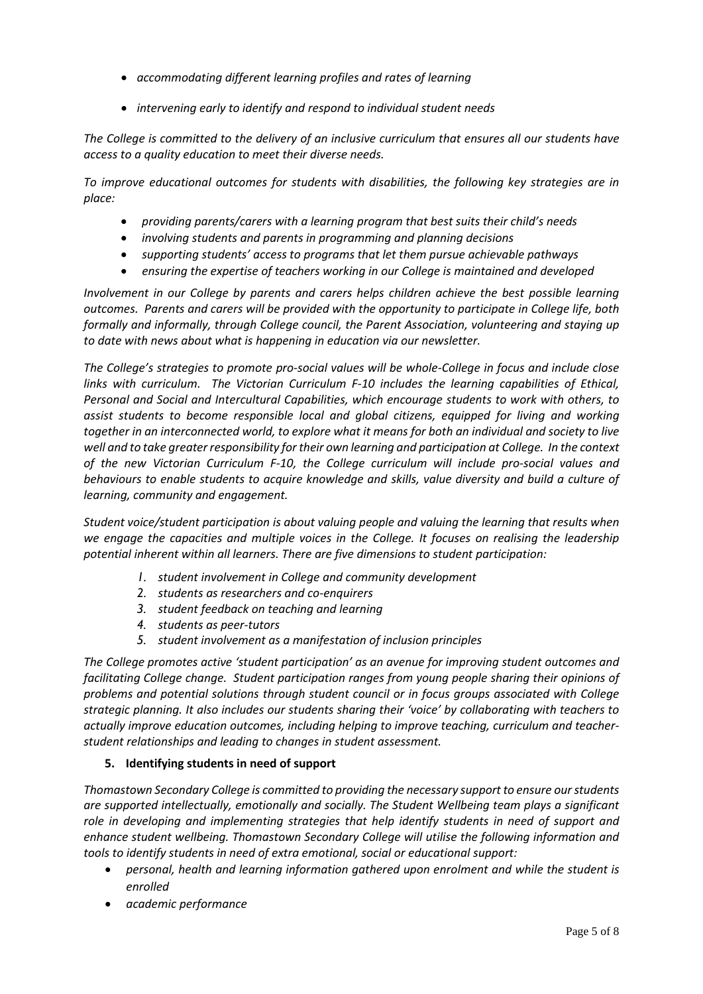- *accommodating different learning profiles and rates of learning*
- *intervening early to identify and respond to individual student needs*

*The College is committed to the delivery of an inclusive curriculum that ensures all our students have access to a quality education to meet their diverse needs.*

*To improve educational outcomes for students with disabilities, the following key strategies are in place:*

- *providing parents/carers with a learning program that best suits their child's needs*
- *involving students and parents in programming and planning decisions*
- *supporting students' access to programs that let them pursue achievable pathways*
- *ensuring the expertise of teachers working in our College is maintained and developed*

*Involvement in our College by parents and carers helps children achieve the best possible learning outcomes. Parents and carers will be provided with the opportunity to participate in College life, both formally and informally, through College council, the Parent Association, volunteering and staying up to date with news about what is happening in education via our newsletter.*

*The College's strategies to promote pro-social values will be whole-College in focus and include close links with curriculum. The Victorian Curriculum F-10 includes the learning capabilities of Ethical, Personal and Social and Intercultural Capabilities, which encourage students to work with others, to assist students to become responsible local and global citizens, equipped for living and working together in an interconnected world, to explore what it means for both an individual and society to live well and to take greater responsibility for their own learning and participation at College. In the context of the new Victorian Curriculum F-10, the College curriculum will include pro-social values and behaviours to enable students to acquire knowledge and skills, value diversity and build a culture of learning, community and engagement.*

*Student voice/student participation is about valuing people and valuing the learning that results when we engage the capacities and multiple voices in the College. It focuses on realising the leadership potential inherent within all learners. There are five dimensions to student participation:*

- *1. student involvement in College and community development*
- *2. students as researchers and co-enquirers*
- *3. student feedback on teaching and learning*
- *4. students as peer-tutors*
- *5. student involvement as a manifestation of inclusion principles*

*The College promotes active 'student participation' as an avenue for improving student outcomes and facilitating College change. Student participation ranges from young people sharing their opinions of problems and potential solutions through student council or in focus groups associated with College strategic planning. It also includes our students sharing their 'voice' by collaborating with teachers to actually improve education outcomes, including helping to improve teaching, curriculum and teacherstudent relationships and leading to changes in student assessment.*

#### **5. Identifying students in need of support**

*Thomastown Secondary College is committed to providing the necessary support to ensure our students are supported intellectually, emotionally and socially. The Student Wellbeing team plays a significant role in developing and implementing strategies that help identify students in need of support and enhance student wellbeing. Thomastown Secondary College will utilise the following information and tools to identify students in need of extra emotional, social or educational support:*

- *personal, health and learning information gathered upon enrolment and while the student is enrolled*
- *academic performance*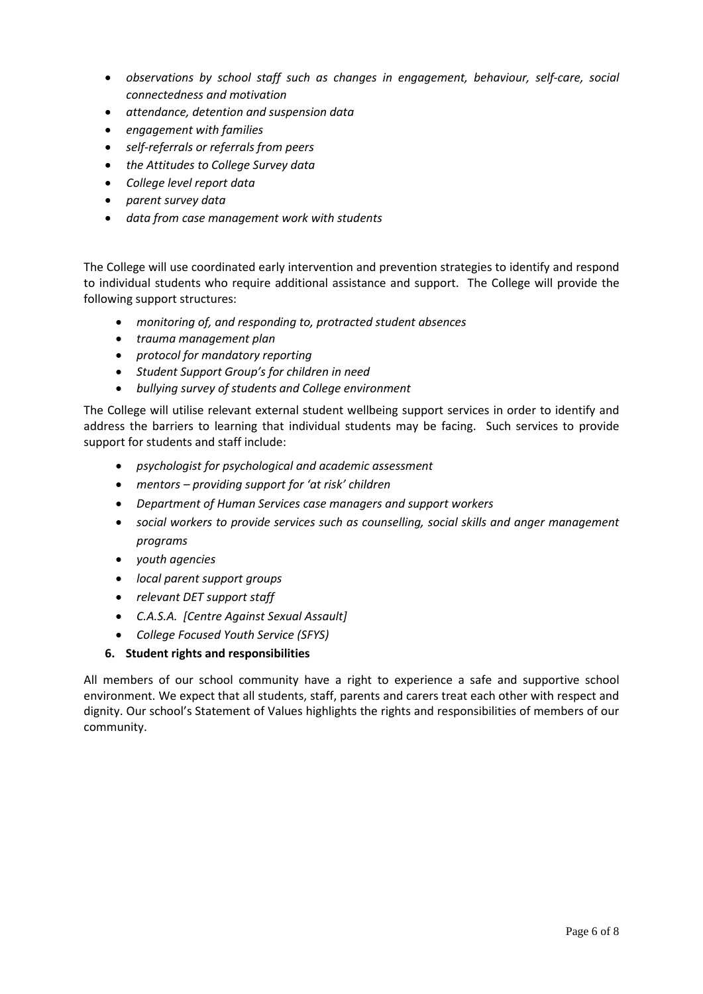- *observations by school staff such as changes in engagement, behaviour, self-care, social connectedness and motivation*
- *attendance, detention and suspension data*
- *engagement with families*
- *self-referrals or referrals from peers*
- *the Attitudes to College Survey data*
- *College level report data*
- *parent survey data*
- *data from case management work with students*

The College will use coordinated early intervention and prevention strategies to identify and respond to individual students who require additional assistance and support. The College will provide the following support structures:

- *monitoring of, and responding to, protracted student absences*
- *trauma management plan*
- *protocol for mandatory reporting*
- *Student Support Group's for children in need*
- *bullying survey of students and College environment*

The College will utilise relevant external student wellbeing support services in order to identify and address the barriers to learning that individual students may be facing. Such services to provide support for students and staff include:

- *psychologist for psychological and academic assessment*
- *mentors – providing support for 'at risk' children*
- *Department of Human Services case managers and support workers*
- *social workers to provide services such as counselling, social skills and anger management programs*
- *youth agencies*
- *local parent support groups*
- *relevant DET support staff*
- *C.A.S.A. [Centre Against Sexual Assault]*
- *College Focused Youth Service (SFYS)*
- **6. Student rights and responsibilities**

All members of our school community have a right to experience a safe and supportive school environment. We expect that all students, staff, parents and carers treat each other with respect and dignity. Our school's Statement of Values highlights the rights and responsibilities of members of our community.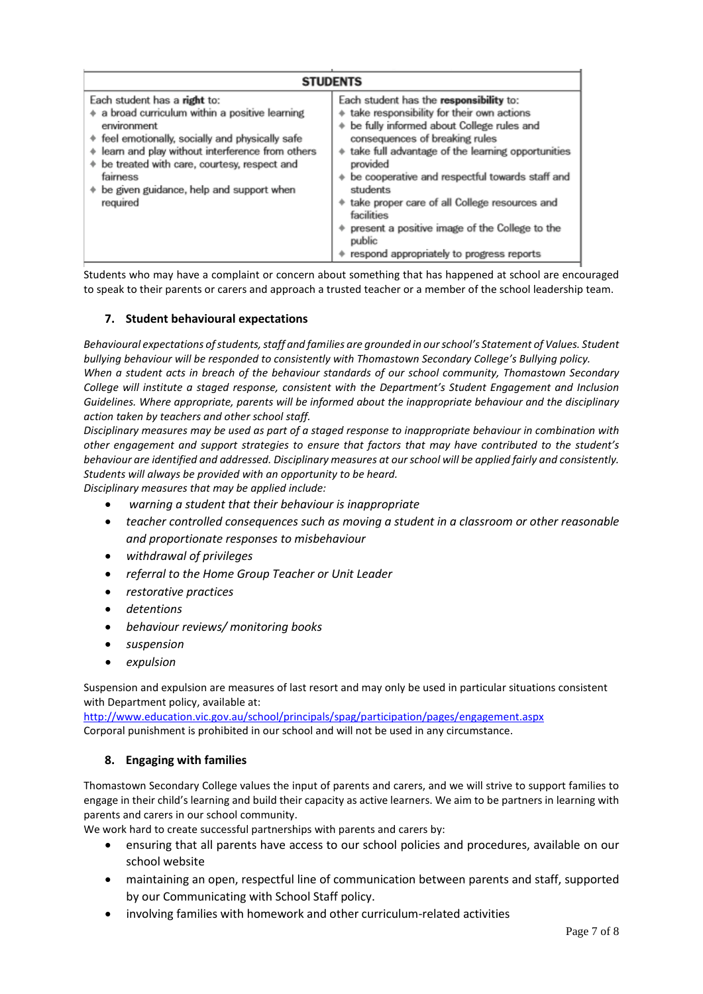| <b>STUDENTS</b>                                                                                                                                                                                                                                                                                                             |                                                                                                                                                                                                                                                                                                                                                                                                                                                                               |
|-----------------------------------------------------------------------------------------------------------------------------------------------------------------------------------------------------------------------------------------------------------------------------------------------------------------------------|-------------------------------------------------------------------------------------------------------------------------------------------------------------------------------------------------------------------------------------------------------------------------------------------------------------------------------------------------------------------------------------------------------------------------------------------------------------------------------|
| Each student has a right to:<br>a broad curriculum within a positive learning<br>environment<br>♦ feel emotionally, socially and physically safe<br>learn and play without interference from others<br>۰<br>be treated with care, courtesy, respect and<br>fairness<br>be given guidance, help and support when<br>required | Each student has the responsibility to:<br>+ take responsibility for their own actions<br>be fully informed about College rules and<br>consequences of breaking rules<br>take full advantage of the learning opportunities<br>provided<br>be cooperative and respectful towards staff and<br>students<br>take proper care of all College resources and<br>facilities<br>present a positive image of the College to the<br>public<br>respond appropriately to progress reports |

Students who may have a complaint or concern about something that has happened at school are encouraged to speak to their parents or carers and approach a trusted teacher or a member of the school leadership team.

#### **7. Student behavioural expectations**

*Behavioural expectations of students, staff and families are grounded in our school's Statement of Values. Student bullying behaviour will be responded to consistently with Thomastown Secondary College's Bullying policy. When a student acts in breach of the behaviour standards of our school community, Thomastown Secondary College will institute a staged response, consistent with the Department's Student Engagement and Inclusion Guidelines. Where appropriate, parents will be informed about the inappropriate behaviour and the disciplinary action taken by teachers and other school staff.* 

*Disciplinary measures may be used as part of a staged response to inappropriate behaviour in combination with other engagement and support strategies to ensure that factors that may have contributed to the student's behaviour are identified and addressed. Disciplinary measures at our school will be applied fairly and consistently. Students will always be provided with an opportunity to be heard.* 

*Disciplinary measures that may be applied include:*

- *warning a student that their behaviour is inappropriate*
- *teacher controlled consequences such as moving a student in a classroom or other reasonable and proportionate responses to misbehaviour*
- *withdrawal of privileges*
- *referral to the Home Group Teacher or Unit Leader*
- *restorative practices*
- *detentions*
- *behaviour reviews/ monitoring books*
- *suspension*
- *expulsion*

Suspension and expulsion are measures of last resort and may only be used in particular situations consistent with Department policy, available at:

<http://www.education.vic.gov.au/school/principals/spag/participation/pages/engagement.aspx> Corporal punishment is prohibited in our school and will not be used in any circumstance.

#### **8. Engaging with families**

Thomastown Secondary College values the input of parents and carers, and we will strive to support families to engage in their child's learning and build their capacity as active learners. We aim to be partners in learning with parents and carers in our school community.

We work hard to create successful partnerships with parents and carers by:

- ensuring that all parents have access to our school policies and procedures, available on our school website
- maintaining an open, respectful line of communication between parents and staff, supported by our Communicating with School Staff policy.
- involving families with homework and other curriculum-related activities